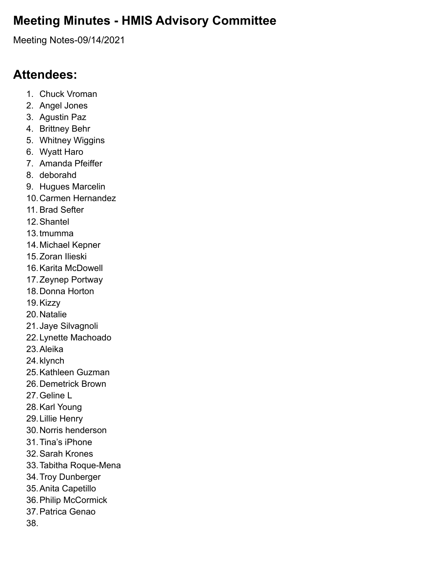# **Meeting Minutes - HMIS Advisory Committee**

Meeting Notes-09/14/2021

## **Attendees:**

- 1. Chuck Vroman
- 2. Angel Jones
- 3. Agustin Paz
- 4. Brittney Behr
- 5. Whitney Wiggins
- 6. Wyatt Haro
- 7. Amanda Pfeiffer
- 8. deborahd
- 9. Hugues Marcelin
- 10.Carmen Hernandez
- 11. Brad Sefter
- 12.Shantel
- 13.tmumma
- 14.Michael Kepner
- 15.Zoran Ilieski
- 16.Karita McDowell
- 17.Zeynep Portway
- 18.Donna Horton
- 19.Kizzy
- 20.Natalie
- 21.Jaye Silvagnoli
- 22.Lynette Machoado
- 23.Aleika
- 24.klynch
- 25.Kathleen Guzman
- 26.Demetrick Brown
- 27.Geline L
- 28.Karl Young
- 29.Lillie Henry
- 30.Norris henderson
- 31.Tina's iPhone
- 32.Sarah Krones
- 33.Tabitha Roque-Mena
- 34.Troy Dunberger
- 35.Anita Capetillo
- 36.Philip McCormick
- 37.Patrica Genao

38.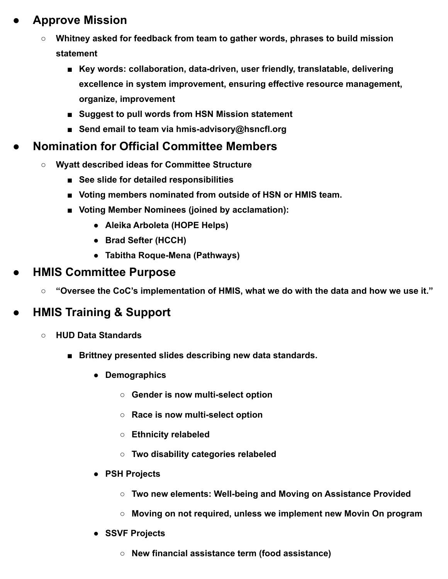## **● Approve Mission**

- **○ Whitney asked for feedback from team to gather words, phrases to build mission statement**
	- Key words: collaboration, data-driven, user friendly, translatable, delivering **excellence in system improvement, ensuring effective resource management, organize, improvement**
	- **Suggest to pull words from HSN Mission statement**
	- **Send email to team via hmis-advisory@hsncfl.org**

#### **● Nomination for Official Committee Members**

- **○ Wyatt described ideas for Committee Structure**
	- **■ See slide for detailed responsibilities**
	- Voting members nominated from outside of HSN or HMIS team.
	- **■ Voting Member Nominees (joined by acclamation):**
		- **● Aleika Arboleta (HOPE Helps)**
		- **● Brad Sefter (HCCH)**
		- **● Tabitha Roque-Mena (Pathways)**

#### **● HMIS Committee Purpose**

**○ "Oversee the CoC's implementation of HMIS, what we do with the data and how we use it."**

## **● HMIS Training & Support**

- **○ HUD Data Standards**
	- **Brittney presented slides describing new data standards.** 
		- **● Demographics**
			- **○ Gender is now multi-select option**
			- **○ Race is now multi-select option**
			- **○ Ethnicity relabeled**
			- **○ Two disability categories relabeled**
		- **● PSH Projects**
			- **○ Two new elements: Well-being and Moving on Assistance Provided**
			- **○ Moving on not required, unless we implement new Movin On program**
		- **● SSVF Projects**
			- **○ New financial assistance term (food assistance)**